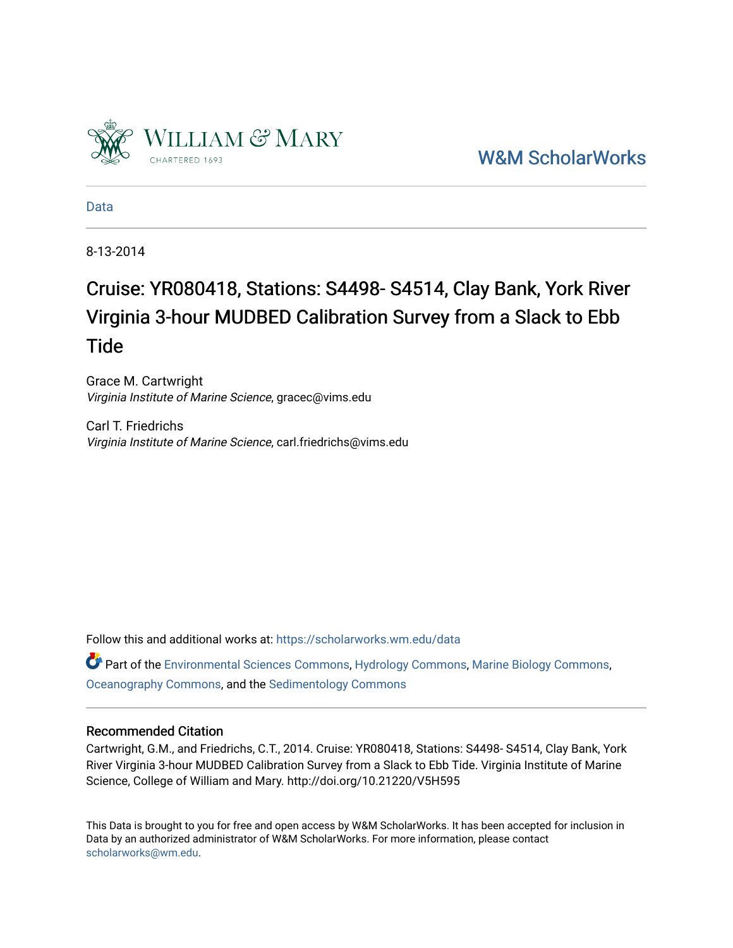

[W&M ScholarWorks](https://scholarworks.wm.edu/) 

[Data](https://scholarworks.wm.edu/data) 

8-13-2014

# Cruise: YR080418, Stations: S4498- S4514, Clay Bank, York River Virginia 3-hour MUDBED Calibration Survey from a Slack to Ebb Tide

Grace M. Cartwright Virginia Institute of Marine Science, gracec@vims.edu

Carl T. Friedrichs Virginia Institute of Marine Science, carl.friedrichs@vims.edu

Follow this and additional works at: [https://scholarworks.wm.edu/data](https://scholarworks.wm.edu/data?utm_source=scholarworks.wm.edu%2Fdata%2F5&utm_medium=PDF&utm_campaign=PDFCoverPages) 

Part of the [Environmental Sciences Commons](http://network.bepress.com/hgg/discipline/167?utm_source=scholarworks.wm.edu%2Fdata%2F5&utm_medium=PDF&utm_campaign=PDFCoverPages), [Hydrology Commons](http://network.bepress.com/hgg/discipline/1054?utm_source=scholarworks.wm.edu%2Fdata%2F5&utm_medium=PDF&utm_campaign=PDFCoverPages), [Marine Biology Commons](http://network.bepress.com/hgg/discipline/1126?utm_source=scholarworks.wm.edu%2Fdata%2F5&utm_medium=PDF&utm_campaign=PDFCoverPages), [Oceanography Commons,](http://network.bepress.com/hgg/discipline/191?utm_source=scholarworks.wm.edu%2Fdata%2F5&utm_medium=PDF&utm_campaign=PDFCoverPages) and the [Sedimentology Commons](http://network.bepress.com/hgg/discipline/1079?utm_source=scholarworks.wm.edu%2Fdata%2F5&utm_medium=PDF&utm_campaign=PDFCoverPages) 

#### Recommended Citation

Cartwright, G.M., and Friedrichs, C.T., 2014. Cruise: YR080418, Stations: S4498- S4514, Clay Bank, York River Virginia 3-hour MUDBED Calibration Survey from a Slack to Ebb Tide. Virginia Institute of Marine Science, College of William and Mary. http://doi.org/10.21220/V5H595

This Data is brought to you for free and open access by W&M ScholarWorks. It has been accepted for inclusion in Data by an authorized administrator of W&M ScholarWorks. For more information, please contact [scholarworks@wm.edu.](mailto:scholarworks@wm.edu)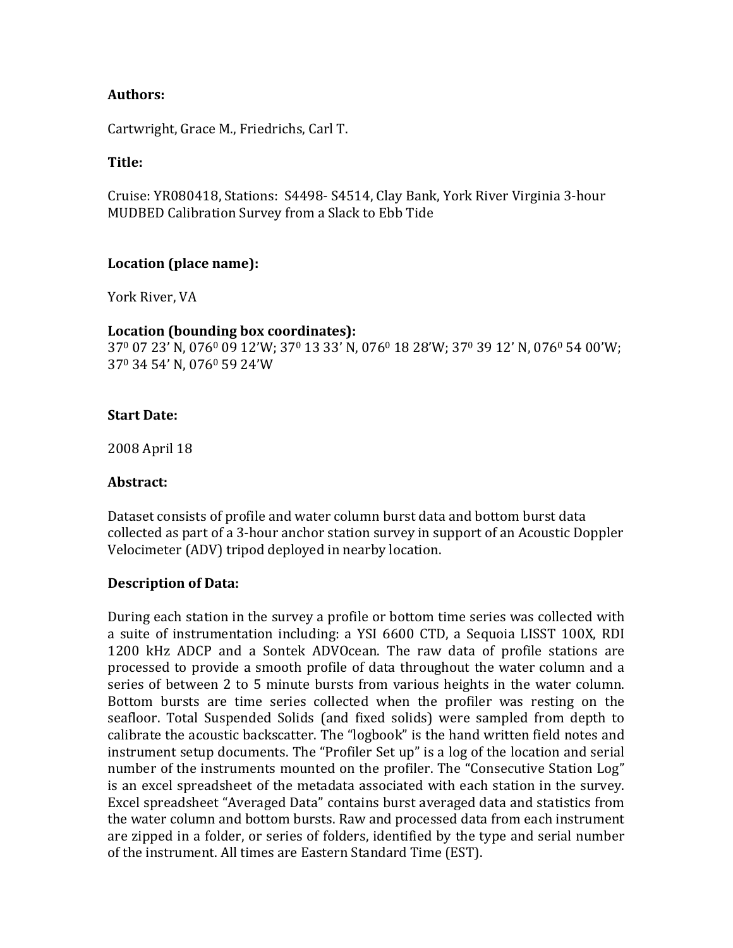## **Authors:**

Cartwright, Grace M., Friedrichs, Carl T.

### **Title:**

Cruise: YR080418, Stations: S4498- S4514, Clay Bank, York River Virginia 3-hour MUDBED Calibration Survey from a Slack to Ebb Tide

#### **Location (place name):**

York River, VA

#### **Location (bounding box coordinates):**

370 07 23' N, 0760 09 12'W; 370 13 33' N, 0760 18 28'W; 370 39 12' N, 0760 54 00'W; 370 34 54' N, 0760 59 24'W

#### **Start Date:**

2008 April 18

#### **Abstract:**

Dataset consists of profile and water column burst data and bottom burst data collected as part of a 3-hour anchor station survey in support of an Acoustic Doppler Velocimeter (ADV) tripod deployed in nearby location.

#### **Description of Data:**

During each station in the survey a profile or bottom time series was collected with a suite of instrumentation including: a YSI 6600 CTD, a Sequoia LISST 100X, RDI 1200 kHz ADCP and a Sontek ADVOcean. The raw data of profile stations are processed to provide a smooth profile of data throughout the water column and a series of between 2 to 5 minute bursts from various heights in the water column. Bottom bursts are time series collected when the profiler was resting on the seafloor. Total Suspended Solids (and fixed solids) were sampled from depth to calibrate the acoustic backscatter. The "logbook" is the hand written field notes and instrument setup documents. The "Profiler Set up" is a log of the location and serial number of the instruments mounted on the profiler. The "Consecutive Station Log" is an excel spreadsheet of the metadata associated with each station in the survey. Excel spreadsheet "Averaged Data" contains burst averaged data and statistics from the water column and bottom bursts. Raw and processed data from each instrument are zipped in a folder, or series of folders, identified by the type and serial number of the instrument. All times are Eastern Standard Time (EST).